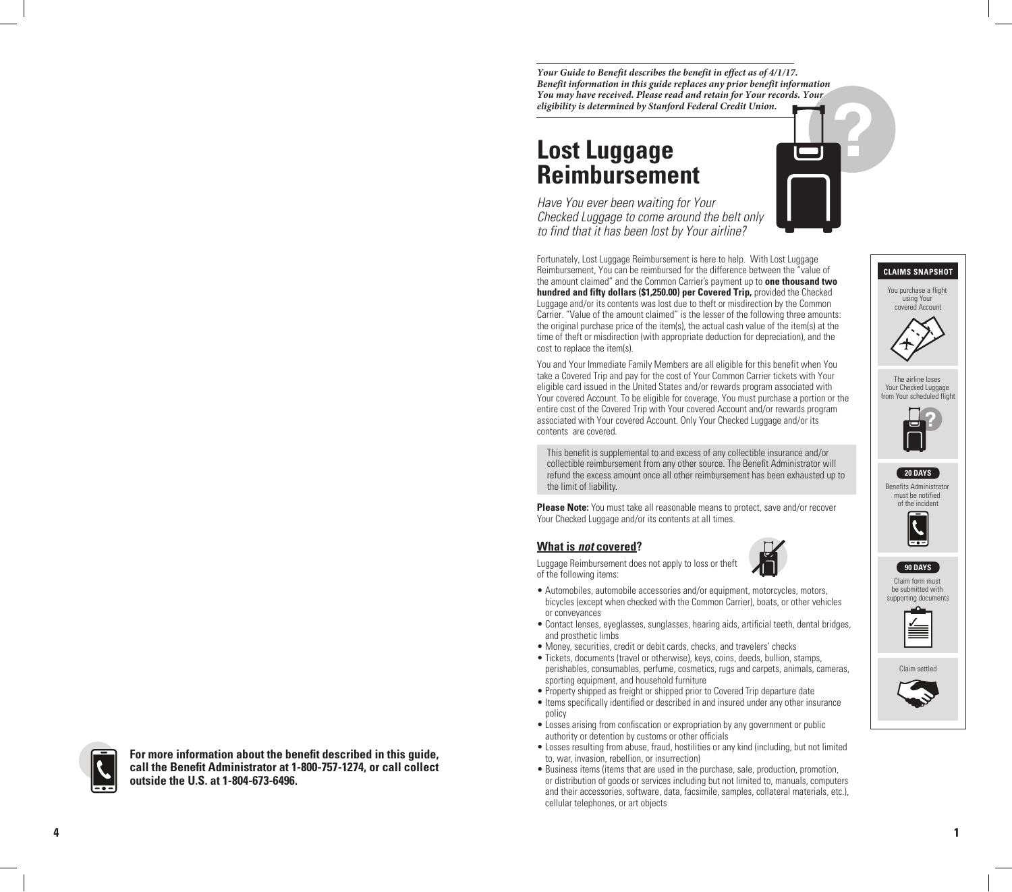*Your Guide to Benefit describes the benefit in effect as of 4/1/17. Benefit information in this guide replaces any prior benefit information You may have received. Please read and retain for Your records. Your eligibility is determined by Stanford Federal Credit Union.*

# **Lost Luggage Reimbursement**

*Have You ever been waiting for Your Checked Luggage to come around the belt only to find that it has been lost by Your airline?* 

Fortunately, Lost Luggage Reimbursement is here to help. With Lost Luggage Reimbursement, You can be reimbursed for the difference between the "value of the amount claimed" and the Common Carrier's payment up to **one thousand two hundred and fifty dollars (\$1,250.00) per Covered Trip,** provided the Checked Luggage and/or its contents was lost due to theft or misdirection by the Common Carrier. "Value of the amount claimed" is the lesser of the following three amounts: the original purchase price of the item(s), the actual cash value of the item(s) at the time of theft or misdirection (with appropriate deduction for depreciation), and the cost to replace the item(s).

You and Your Immediate Family Members are all eligible for this benefit when You take a Covered Trip and pay for the cost of Your Common Carrier tickets with Your eligible card issued in the United States and/or rewards program associated with Your covered Account. To be eligible for coverage, You must purchase a portion or the entire cost of the Covered Trip with Your covered Account and/or rewards program associated with Your covered Account. Only Your Checked Luggage and/or its contents are covered.

This benefit is supplemental to and excess of any collectible insurance and/or collectible reimbursement from any other source. The Benefit Administrator will refund the excess amount once all other reimbursement has been exhausted up to the limit of liability.

**Please Note:** You must take all reasonable means to protect, save and/or recover Your Checked Luggage and/or its contents at all times.

## **What is** *not* **covered ?**

Luggage Reimbursement does not apply to loss or theft of the following items:

- Automobiles, automobile accessories and/or equipment, motorcycles, motors, bicycles (except when checked with the Common Carrier), boats, or other vehicles or conveyances
- Contact lenses, eyeglasses, sunglasses, hearing aids, artificial teeth, dental bridges, and prosthetic limbs
- Money, securities, credit or debit cards, checks, and travelers' checks
- Tickets, documents (travel or otherwise), keys, coins, deeds, bullion, stamps, perishables, consumables, perfume, cosmetics, rugs and carpets, animals, cameras, sporting equipment, and household furniture
- Property shipped as freight or shipped prior to Covered Trip departure date
- Items specifically identified or described in and insured under any other insurance policy
- Losses arising from confiscation or expropriation by any government or public authority or detention by customs or other officials
- Losses resulting from abuse, fraud, hostilities or any kind (including, but not limited to, war, invasion, rebellion, or insurrection)
- Business items (items that are used in the purchase, sale, production, promotion, or distribution of goods or services including but not limited to, manuals, computers and their accessories, software, data, facsimile, samples, collateral materials, etc.), cellular telephones, or art objects



For more information about the benefit described in this guide, **call the Benefit Administrator at 1-800-757-1274, or call collect outside the U.S. at 1-804-673-6496.**





You purchase a flight using Your covered Account

**CLAIMS SNAPSHOT**

The airline loses Your Checked Luggage from Your scheduled flight

Benefits Administrator must be notified of the incident

**20 DAYS**